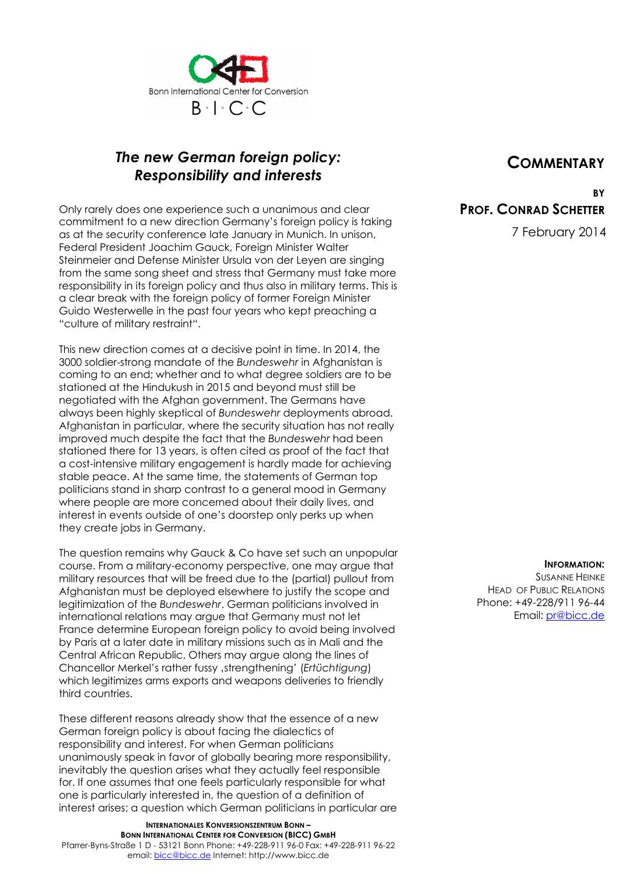

## *The new German foreign policy: Responsibility and interests*

Only rarely does one experience such a unanimous and clear commitment to a new direction Germany's foreign policy is taking as at the security conference late January in Munich. In unison, Federal President Joachim Gauck, Foreign Minister Walter Steinmeier and Defense Minister Ursula von der Leyen are singing from the same song sheet and stress that Germany must take more responsibility in its foreign policy and thus also in military terms. This is a clear break with the foreign policy of former Foreign Minister Guido Westerwelle in the past four years who kept preaching a "culture of military restraint".

This new direction comes at a decisive point in time. In 2014, the 3000 soldier-strong mandate of the *Bundeswehr* in Afghanistan is coming to an end; whether and to what degree soldiers are to be stationed at the Hindukush in 2015 and beyond must still be negotiated with the Afghan government. The Germans have always been highly skeptical of *Bundeswehr* deployments abroad. Afghanistan in particular, where the security situation has not really improved much despite the fact that the *Bundeswehr* had been stationed there for 13 years, is often cited as proof of the fact that a cost-intensive military engagement is hardly made for achieving stable peace. At the same time, the statements of German top politicians stand in sharp contrast to a general mood in Germany where people are more concerned about their daily lives, and interest in events outside of one's doorstep only perks up when they create jobs in Germany.

The question remains why Gauck & Co have set such an unpopular course. From a military-economy perspective, one may argue that military resources that will be freed due to the (partial) pullout from Afghanistan must be deployed elsewhere to justify the scope and legitimization of the *Bundeswehr*. German politicians involved in international relations may argue that Germany must not let France determine European foreign policy to avoid being involved by Paris at a later date in military missions such as in Mali and the Central African Republic. Others may argue along the lines of Chancellor Merkel's rather fussy 'strengthening' (*Ertüchtigung*) which legitimizes arms exports and weapons deliveries to friendly third countries.

These different reasons already show that the essence of a new German foreign policy is about facing the dialectics of responsibility and interest. For when German politicians unanimously speak in favor of globally bearing more responsibility, inevitably the question arises what they actually feel responsible for. If one assumes that one feels particularly responsible for what one is particularly interested in, the question of a definition of interest arises; a question which German politicians in particular are

**INTERNATIONALES KONVERSIONSZENTRUM BONN – BONN INTERNATIONAL CENTER FOR CONVERSION (BICC) GMBH** Pfarrer-Byns-Straße 1 D - 53121 Bonn Phone: +49-228-911 96-0 Fax: +49-228-911 96-22 email: bicc@bicc.de Internet: http://www.bicc.de

## **COMMENTARY**

**BY PROF. CONRAD SCHETTER**

7 February 2014

**INFORMATION:**  SUSANNE HEINKE HEAD OF PUBLIC RELATIONS Phone: +49-228/911 96-44 Email: pr@bicc.de